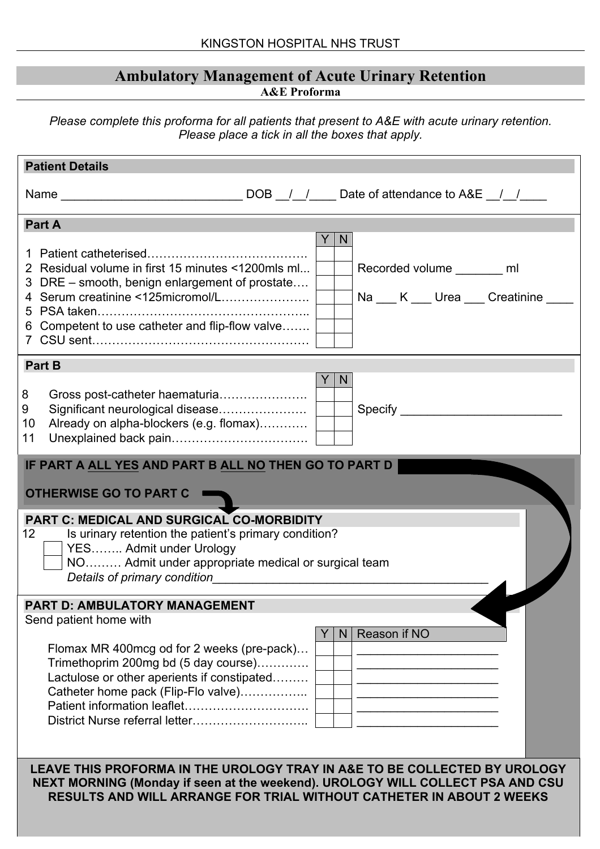#### **Ambulatory Management of Acute Urinary Retention A&E Proforma**

*Please complete this proforma for all patients that present to A&E with acute urinary retention. Please place a tick in all the boxes that apply.*

| <b>Patient Details</b>                                                                                                                                                                                                                                                                                                                                                                                                                          |
|-------------------------------------------------------------------------------------------------------------------------------------------------------------------------------------------------------------------------------------------------------------------------------------------------------------------------------------------------------------------------------------------------------------------------------------------------|
| Name $\frac{1}{\sqrt{1-\frac{1}{1-\frac{1}{1-\frac{1}{1-\frac{1}{1-\frac{1}{1-\frac{1}{1-\frac{1}{1-\frac{1}{1-\frac{1}{1-\frac{1}{1-\frac{1}{1-\frac{1}{1-\frac{1}{1-\frac{1}{1-\frac{1}{1-\frac{1}{1-\frac{1}{1-\frac{1}{1-\frac{1}{1-\frac{1}{1-\frac{1}{1-\frac{1}{1-\frac{1}{1-\frac{1}{1-\frac{1}{1-\frac{1}{1-\frac{1}{1-\frac{1}{1-\frac{1}{1-\frac{1}{1-\frac{1}{1-\frac{1}{1-\frac{1}{1-\frac{1}{1-\frac$                             |
| Part A                                                                                                                                                                                                                                                                                                                                                                                                                                          |
| N<br>2 Residual volume in first 15 minutes <1200mls ml<br>Recorded volume ________ ml<br>3 DRE - smooth, benign enlargement of prostate<br>4 Serum creatinine <125micromol/L<br>Na K Urea Creatinine<br>6 Competent to use catheter and flip-flow valve                                                                                                                                                                                         |
| <b>Part B</b>                                                                                                                                                                                                                                                                                                                                                                                                                                   |
| N<br>8<br>Significant neurological disease<br>9<br>Already on alpha-blockers (e.g. flomax)<br>10<br>11                                                                                                                                                                                                                                                                                                                                          |
| IF PART A ALL YES AND PART B ALL NO THEN GO TO PART D                                                                                                                                                                                                                                                                                                                                                                                           |
|                                                                                                                                                                                                                                                                                                                                                                                                                                                 |
| OTHERWISE GO TO PART C                                                                                                                                                                                                                                                                                                                                                                                                                          |
| <b>PART C: MEDICAL AND SURGICAL CO-MORBIDITY</b><br>12 <sup>1</sup><br>Is urinary retention the patient's primary condition?<br>YES Admit under Urology<br>NO Admit under appropriate medical or surgical team<br>Details of primary condition example of the state of the state of the state of the state of the state of the state of the state of the state of the state of the state of the state of the state of the state of the state of |
| <b>PART D: AMBULATORY MANAGEMENT</b>                                                                                                                                                                                                                                                                                                                                                                                                            |
| Send patient home with                                                                                                                                                                                                                                                                                                                                                                                                                          |
| Reason if NO<br>N<br>Flomax MR 400mcg od for 2 weeks (pre-pack)<br>Trimethoprim 200mg bd (5 day course)<br>Lactulose or other aperients if constipated<br>Catheter home pack (Flip-Flo valve)                                                                                                                                                                                                                                                   |
| LEAVE THIS PROFORMA IN THE UROLOGY TRAY IN A&E TO BE COLLECTED BY UROLOGY<br>NEXT MORNING (Monday if seen at the weekend). UROLOGY WILL COLLECT PSA AND CSU<br>RESULTS AND WILL ARRANGE FOR TRIAL WITHOUT CATHETER IN ABOUT 2 WEEKS                                                                                                                                                                                                             |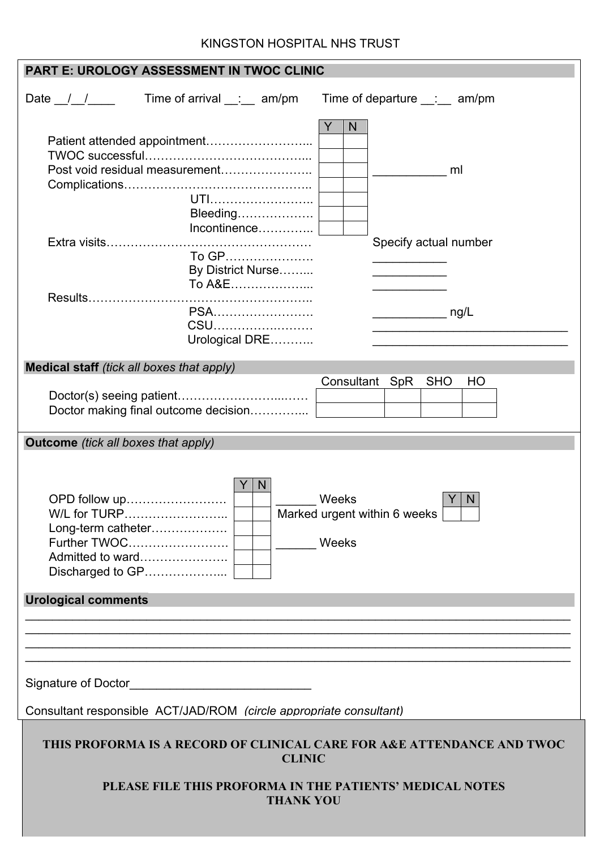#### KINGSTON HOSPITAL NHS TRUST

| <b>PART E: UROLOGY ASSESSMENT IN TWOC CLINIC</b>                                                                                                                        |                                                                                                                                           |  |                                       |  |
|-------------------------------------------------------------------------------------------------------------------------------------------------------------------------|-------------------------------------------------------------------------------------------------------------------------------------------|--|---------------------------------------|--|
| Date $\frac{\_}{\_}/\_$                                                                                                                                                 | Time of arrival $\_\_\_\_\_\_\$ am/pm                                                                                                     |  | Time of departure $\_\_\_\_\_\$ am/pm |  |
|                                                                                                                                                                         | Post void residual measurement<br>UTI<br>Bleeding<br>Incontinence<br>To GP<br>By District Nurse<br>To A&E<br>PSA<br>CSU<br>Urological DRE |  | N<br>ml<br>Specify actual number      |  |
| <b>Medical staff</b> (tick all boxes that apply)                                                                                                                        |                                                                                                                                           |  |                                       |  |
|                                                                                                                                                                         | Doctor making final outcome decision                                                                                                      |  | Consultant SpR<br><b>SHO</b><br>HO    |  |
| <b>Outcome</b> (tick all boxes that apply)                                                                                                                              |                                                                                                                                           |  |                                       |  |
| N<br>Weeks<br>OPD follow up<br>Marked urgent within 6 weeks<br>W/L for TURP<br>Long-term catheter<br>Further TWOC<br>Weeks<br>Admitted to ward<br>Discharged to GP      |                                                                                                                                           |  |                                       |  |
| <b>Urological comments</b>                                                                                                                                              |                                                                                                                                           |  |                                       |  |
| Consultant responsible ACT/JAD/ROM (circle appropriate consultant)                                                                                                      |                                                                                                                                           |  |                                       |  |
|                                                                                                                                                                         |                                                                                                                                           |  |                                       |  |
| THIS PROFORMA IS A RECORD OF CLINICAL CARE FOR A&E ATTENDANCE AND TWOC<br><b>CLINIC</b><br>PLEASE FILE THIS PROFORMA IN THE PATIENTS' MEDICAL NOTES<br><b>THANK YOU</b> |                                                                                                                                           |  |                                       |  |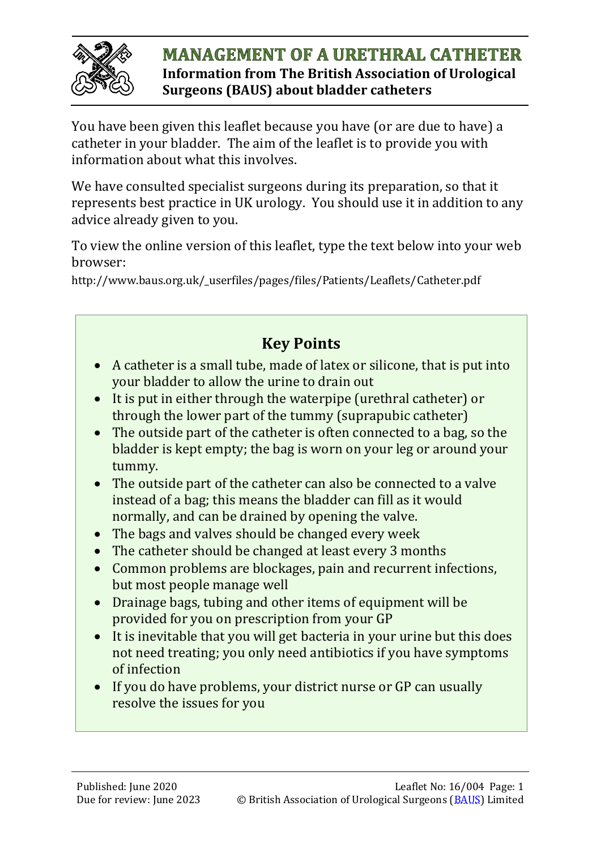

#### **MANAGEMENT OF A URETHRAL CATHETER Information from The British Association of Urological Surgeons (BAUS) about bladder catheters**

You have been given this leaflet because you have (or are due to have) a catheter in your bladder. The aim of the leaflet is to provide you with information about what this involves.

We have consulted specialist surgeons during its preparation, so that it represents best practice in UK urology. You should use it in addition to any advice already given to you.

To view the online version of this leaflet, type the text below into your web browser:

http://www.baus.org.uk/\_userfiles/pages/files/Patients/Leaflets/Catheter.pdf

# **Key Points**

- A catheter is a small tube, made of latex or silicone, that is put into your bladder to allow the urine to drain out
- It is put in either through the waterpipe (urethral catheter) or through the lower part of the tummy (suprapubic catheter)
- The outside part of the catheter is often connected to a bag, so the bladder is kept empty; the bag is worn on your leg or around your tummy.
- The outside part of the catheter can also be connected to a valve instead of a bag; this means the bladder can fill as it would normally, and can be drained by opening the valve.
- The bags and valves should be changed every week
- The catheter should be changed at least every 3 months
- Common problems are blockages, pain and recurrent infections, but most people manage well
- Drainage bags, tubing and other items of equipment will be provided for you on prescription from your GP
- It is inevitable that you will get bacteria in your urine but this does not need treating; you only need antibiotics if you have symptoms of infection
- If you do have problems, your district nurse or GP can usually resolve the issues for you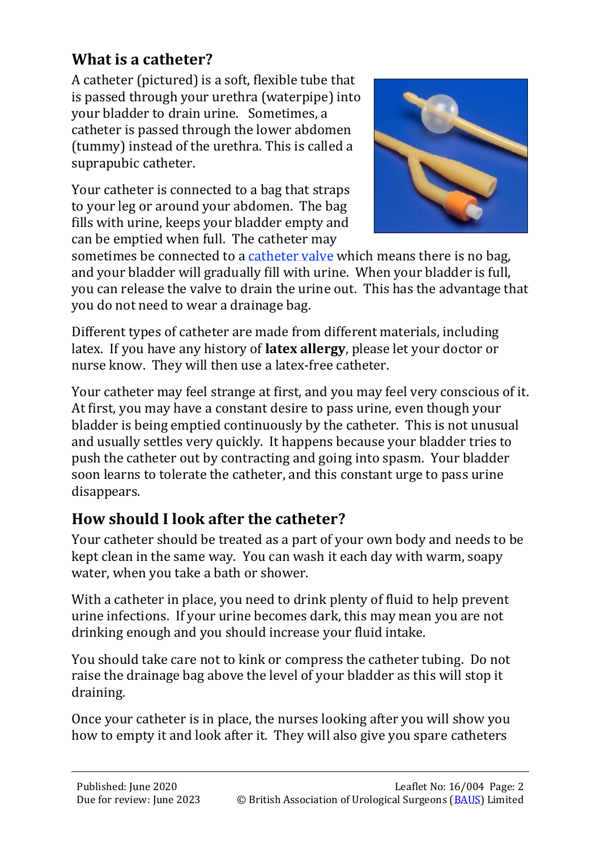# **What is a catheter?**

A catheter (pictured) is a soft, flexible tube that is passed through your urethra (waterpipe) into your bladder to drain urine. Sometimes, a catheter is passed through the lower abdomen (tummy) instead of the urethra. This is called a suprapubic catheter.

Your catheter is connected to a bag that straps to your leg or around your abdomen. The bag fills with urine, keeps your bladder empty and can be emptied when full. The catheter may



sometimes be connected to a [catheter valve](http://www.baus.org.uk/_userfiles/pages/files/Patients/Leaflets/Catheter%20valves.pdf) which means there is no bag, and your bladder will gradually fill with urine. When your bladder is full, you can release the valve to drain the urine out. This has the advantage that you do not need to wear a drainage bag.

Different types of catheter are made from different materials, including latex. If you have any history of **latex allergy**, please let your doctor or nurse know. They will then use a latex-free catheter.

Your catheter may feel strange at first, and you may feel very conscious of it. At first, you may have a constant desire to pass urine, even though your bladder is being emptied continuously by the catheter. This is not unusual and usually settles very quickly. It happens because your bladder tries to push the catheter out by contracting and going into spasm. Your bladder soon learns to tolerate the catheter, and this constant urge to pass urine disappears.

# **How should I look after the catheter?**

Your catheter should be treated as a part of your own body and needs to be kept clean in the same way. You can wash it each day with warm, soapy water, when you take a bath or shower.

With a catheter in place, you need to drink plenty of fluid to help prevent urine infections. If your urine becomes dark, this may mean you are not drinking enough and you should increase your fluid intake.

You should take care not to kink or compress the catheter tubing. Do not raise the drainage bag above the level of your bladder as this will stop it draining.

Once your catheter is in place, the nurses looking after you will show you how to empty it and look after it. They will also give you spare catheters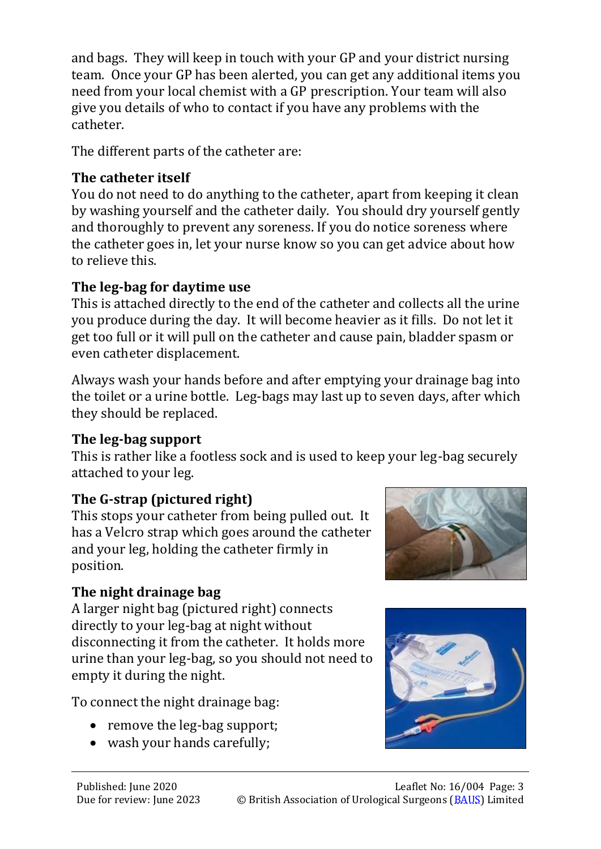and bags. They will keep in touch with your GP and your district nursing team. Once your GP has been alerted, you can get any additional items you need from your local chemist with a GP prescription. Your team will also give you details of who to contact if you have any problems with the catheter.

The different parts of the catheter are:

## **The catheter itself**

You do not need to do anything to the catheter, apart from keeping it clean by washing yourself and the catheter daily. You should dry yourself gently and thoroughly to prevent any soreness. If you do notice soreness where the catheter goes in, let your nurse know so you can get advice about how to relieve this.

## **The leg-bag for daytime use**

This is attached directly to the end of the catheter and collects all the urine you produce during the day. It will become heavier as it fills. Do not let it get too full or it will pull on the catheter and cause pain, bladder spasm or even catheter displacement.

Always wash your hands before and after emptying your drainage bag into the toilet or a urine bottle. Leg-bags may last up to seven days, after which they should be replaced.

## **The leg-bag support**

This is rather like a footless sock and is used to keep your leg-bag securely attached to your leg.

# **The G-strap (pictured right)**

This stops your catheter from being pulled out. It has a Velcro strap which goes around the catheter and your leg, holding the catheter firmly in position.

## **The night drainage bag**

A larger night bag (pictured right) connects directly to your leg-bag at night without disconnecting it from the catheter. It holds more urine than your leg-bag, so you should not need to empty it during the night.

To connect the night drainage bag:

- remove the leg-bag support;
- wash your hands carefully;



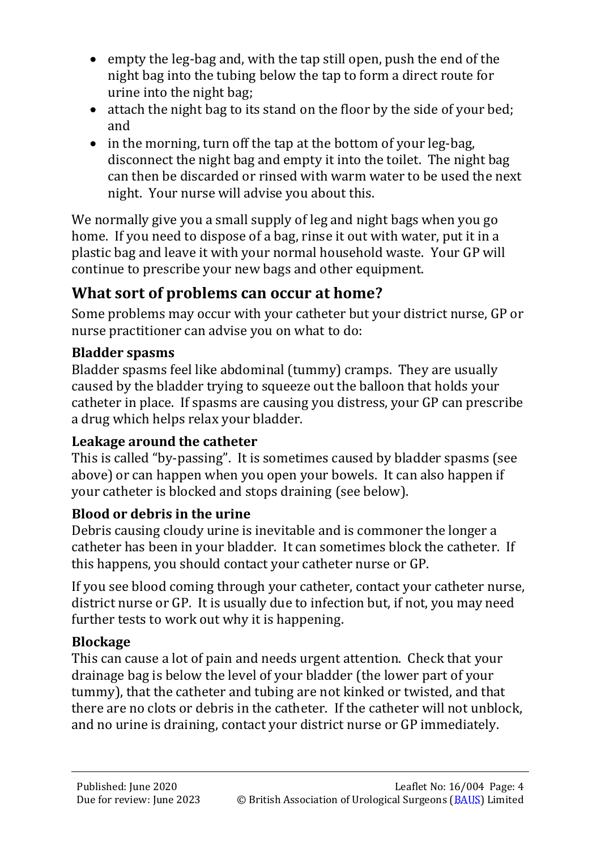- empty the leg-bag and, with the tap still open, push the end of the night bag into the tubing below the tap to form a direct route for urine into the night bag;
- attach the night bag to its stand on the floor by the side of your bed; and
- in the morning, turn off the tap at the bottom of your leg-bag, disconnect the night bag and empty it into the toilet. The night bag can then be discarded or rinsed with warm water to be used the next night. Your nurse will advise you about this.

We normally give you a small supply of leg and night bags when you go home. If you need to dispose of a bag, rinse it out with water, put it in a plastic bag and leave it with your normal household waste. Your GP will continue to prescribe your new bags and other equipment.

# **What sort of problems can occur at home?**

Some problems may occur with your catheter but your district nurse, GP or nurse practitioner can advise you on what to do:

## **Bladder spasms**

Bladder spasms feel like abdominal (tummy) cramps. They are usually caused by the bladder trying to squeeze out the balloon that holds your catheter in place. If spasms are causing you distress, your GP can prescribe a drug which helps relax your bladder.

## **Leakage around the catheter**

This is called "by-passing". It is sometimes caused by bladder spasms (see above) or can happen when you open your bowels. It can also happen if your catheter is blocked and stops draining (see below).

## **Blood or debris in the urine**

Debris causing cloudy urine is inevitable and is commoner the longer a catheter has been in your bladder. It can sometimes block the catheter. If this happens, you should contact your catheter nurse or GP.

If you see blood coming through your catheter, contact your catheter nurse, district nurse or GP. It is usually due to infection but, if not, you may need further tests to work out why it is happening.

# **Blockage**

This can cause a lot of pain and needs urgent attention. Check that your drainage bag is below the level of your bladder (the lower part of your tummy), that the catheter and tubing are not kinked or twisted, and that there are no clots or debris in the catheter. If the catheter will not unblock, and no urine is draining, contact your district nurse or GP immediately.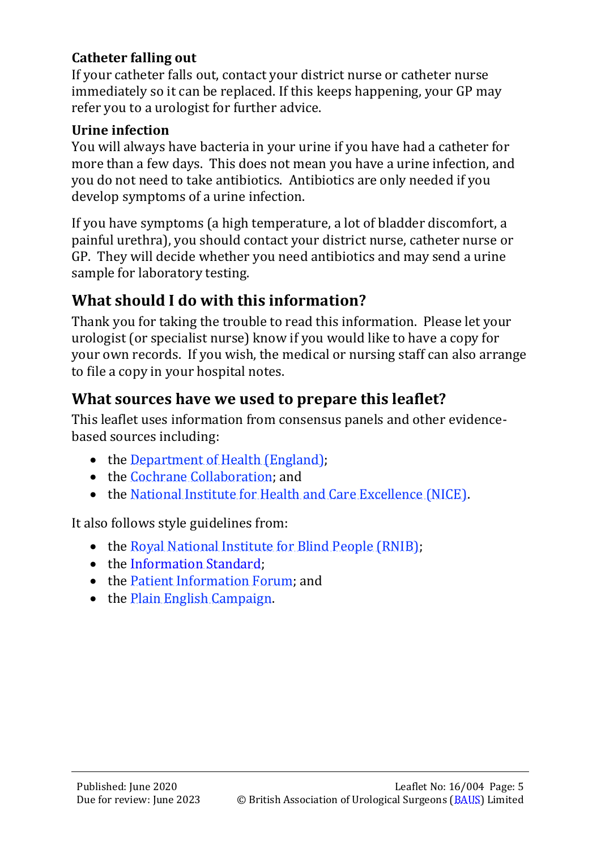#### **Catheter falling out**

If your catheter falls out, contact your district nurse or catheter nurse immediately so it can be replaced. If this keeps happening, your GP may refer you to a urologist for further advice.

#### **Urine infection**

You will always have bacteria in your urine if you have had a catheter for more than a few days. This does not mean you have a urine infection, and you do not need to take antibiotics. Antibiotics are only needed if you develop symptoms of a urine infection.

If you have symptoms (a high temperature, a lot of bladder discomfort, a painful urethra), you should contact your district nurse, catheter nurse or GP. They will decide whether you need antibiotics and may send a urine sample for laboratory testing.

# **What should I do with this information?**

Thank you for taking the trouble to read this information. Please let your urologist (or specialist nurse) know if you would like to have a copy for your own records. If you wish, the medical or nursing staff can also arrange to file a copy in your hospital notes.

## **What sources have we used to prepare this leaflet?**

This leaflet uses information from consensus panels and other evidencebased sources including:

- the [Department of Health \(England\);](https://www.gov.uk/government/organisations/department-of-health)
- the [Cochrane Collaboration;](http://uk.cochrane.org/) and
- the [National Institute for Health and Care Excellence \(NICE\).](https://www.nice.org.uk/)

It also follows style guidelines from:

- the [Royal National Institute for Blind People \(RNIB\);](http://www.rnib.org.uk/)
- the [Information Standard;](https://www.england.nhs.uk/tis/)
- the [Patient Information Forum;](http://www.pifonline.org.uk/) and
- the [Plain English Campaign.](http://www.plainenglish.co.uk/)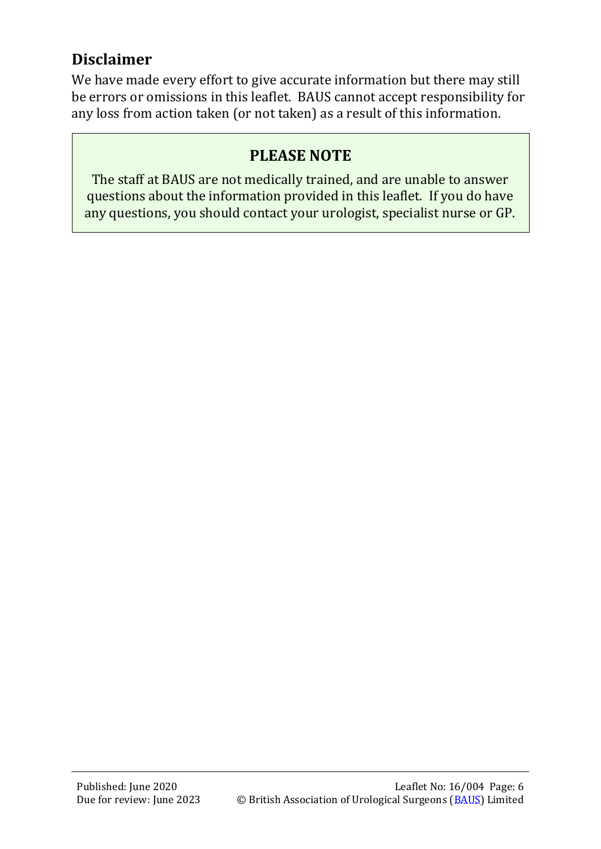# **Disclaimer**

We have made every effort to give accurate information but there may still be errors or omissions in this leaflet. BAUS cannot accept responsibility for any loss from action taken (or not taken) as a result of this information.

# **PLEASE NOTE**

The staff at BAUS are not medically trained, and are unable to answer questions about the information provided in this leaflet. If you do have any questions, you should contact your urologist, specialist nurse or GP.